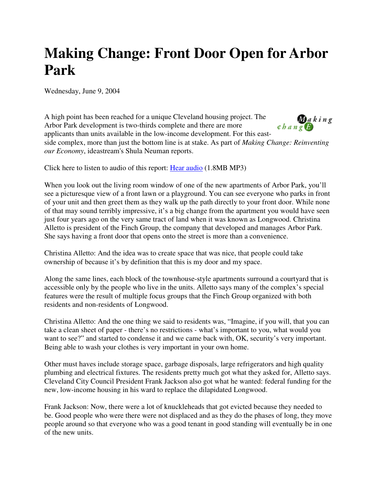## **Making Change: Front Door Open for Arbor Park**

Wednesday, June 9, 2004

 $\sum_{\mathbf{c} \, h \, a \, n \, g} k \, i \, n \, g$ A high point has been reached for a unique Cleveland housing project. The Arbor Park development is two-thirds complete and there are more applicants than units available in the low-income development. For this eastside complex, more than just the bottom line is at stake. As part of *Making Change: Reinventing our Economy*, ideastream's Shula Neuman reports.

Click here to listen to audio of this report: Hear audio (1.8MB MP3)

When you look out the living room window of one of the new apartments of Arbor Park, you'll see a picturesque view of a front lawn or a playground. You can see everyone who parks in front of your unit and then greet them as they walk up the path directly to your front door. While none of that may sound terribly impressive, it's a big change from the apartment you would have seen just four years ago on the very same tract of land when it was known as Longwood. Christina Alletto is president of the Finch Group, the company that developed and manages Arbor Park. She says having a front door that opens onto the street is more than a convenience.

Christina Alletto: And the idea was to create space that was nice, that people could take ownership of because it's by definition that this is my door and my space.

Along the same lines, each block of the townhouse-style apartments surround a courtyard that is accessible only by the people who live in the units. Alletto says many of the complex's special features were the result of multiple focus groups that the Finch Group organized with both residents and non-residents of Longwood.

Christina Alletto: And the one thing we said to residents was, "Imagine, if you will, that you can take a clean sheet of paper - there's no restrictions - what's important to you, what would you want to see?" and started to condense it and we came back with, OK, security's very important. Being able to wash your clothes is very important in your own home.

Other must haves include storage space, garbage disposals, large refrigerators and high quality plumbing and electrical fixtures. The residents pretty much got what they asked for, Alletto says. Cleveland City Council President Frank Jackson also got what he wanted: federal funding for the new, low-income housing in his ward to replace the dilapidated Longwood.

Frank Jackson: Now, there were a lot of knuckleheads that got evicted because they needed to be. Good people who were there were not displaced and as they do the phases of long, they move people around so that everyone who was a good tenant in good standing will eventually be in one of the new units.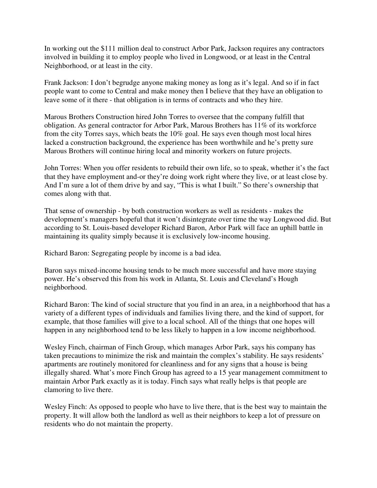In working out the \$111 million deal to construct Arbor Park, Jackson requires any contractors involved in building it to employ people who lived in Longwood, or at least in the Central Neighborhood, or at least in the city.

Frank Jackson: I don't begrudge anyone making money as long as it's legal. And so if in fact people want to come to Central and make money then I believe that they have an obligation to leave some of it there - that obligation is in terms of contracts and who they hire.

Marous Brothers Construction hired John Torres to oversee that the company fulfill that obligation. As general contractor for Arbor Park, Marous Brothers has 11% of its workforce from the city Torres says, which beats the 10% goal. He says even though most local hires lacked a construction background, the experience has been worthwhile and he's pretty sure Marous Brothers will continue hiring local and minority workers on future projects.

John Torres: When you offer residents to rebuild their own life, so to speak, whether it's the fact that they have employment and-or they're doing work right where they live, or at least close by. And I'm sure a lot of them drive by and say, "This is what I built." So there's ownership that comes along with that.

That sense of ownership - by both construction workers as well as residents - makes the development's managers hopeful that it won't disintegrate over time the way Longwood did. But according to St. Louis-based developer Richard Baron, Arbor Park will face an uphill battle in maintaining its quality simply because it is exclusively low-income housing.

Richard Baron: Segregating people by income is a bad idea.

Baron says mixed-income housing tends to be much more successful and have more staying power. He's observed this from his work in Atlanta, St. Louis and Cleveland's Hough neighborhood.

Richard Baron: The kind of social structure that you find in an area, in a neighborhood that has a variety of a different types of individuals and families living there, and the kind of support, for example, that those families will give to a local school. All of the things that one hopes will happen in any neighborhood tend to be less likely to happen in a low income neighborhood.

Wesley Finch, chairman of Finch Group, which manages Arbor Park, says his company has taken precautions to minimize the risk and maintain the complex's stability. He says residents' apartments are routinely monitored for cleanliness and for any signs that a house is being illegally shared. What's more Finch Group has agreed to a 15 year management commitment to maintain Arbor Park exactly as it is today. Finch says what really helps is that people are clamoring to live there.

Wesley Finch: As opposed to people who have to live there, that is the best way to maintain the property. It will allow both the landlord as well as their neighbors to keep a lot of pressure on residents who do not maintain the property.